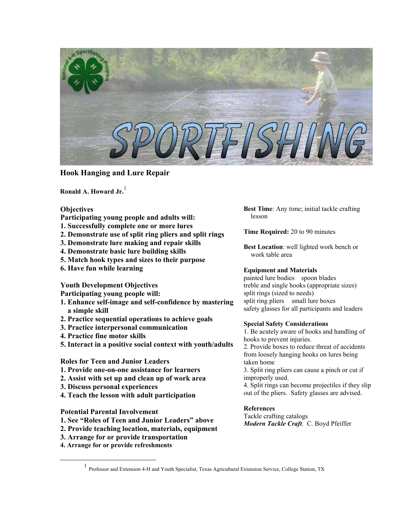

# **Hook Hanging and Lure Repair**

**Ronald A. Howard Jr.** [1](#page-0-0)

## **Objectives**

- **Participating young people and adults will:**
- **1. Successfully complete one or more lures**
- **2. Demonstrate use of split ring pliers and split rings**
- **3. Demonstrate lure making and repair skills**
- **4. Demonstrate basic lure building skills**
- **5. Match hook types and sizes to their purpose**
- **6. Have fun while learning**

**Youth Development Objectives** 

**Participating young people will:** 

- **1. Enhance self-image and self-confidence by mastering a simple skill**
- **2. Practice sequential operations to achieve goals**
- **3. Practice interpersonal communication**
- **4. Practice fine motor skills**
- **5. Interact in a positive social context with youth/adults**

## **Roles for Teen and Junior Leaders**

- **1. Provide one-on-one assistance for learners**
- **2. Assist with set up and clean up of work area**
- **3. Discuss personal experiences**
- **4. Teach the lesson with adult participation**

## **Potential Parental Involvement**

- **1. See "Roles of Teen and Junior Leaders" above**
- **2. Provide teaching location, materials, equipment**
- **3. Arrange for or provide transportation**
- **4. Arrange for or provide refreshments**

**Best Time**: Any time; initial tackle crafting lesson

**Time Required:** 20 to 90 minutes

**Best Location**: well lighted work bench or work table area

## **Equipment and Materials**

painted lure bodies spoon blades treble and single hooks (appropriate sizes) split rings (sized to needs) split ring pliers small lure boxes safety glasses for all participants and leaders

## **Special Safety Considerations**

1. Be acutely aware of hooks and handling of hooks to prevent injuries. 2. Provide boxes to reduce threat of accidents from loosely hanging hooks on lures being taken home 3. Split ring pliers can cause a pinch or cut if improperly used. 4. Split rings can become projectiles if they slip out of the pliers. Safety glasses are advised.

## **References**

Tackle crafting catalogs *Modern Tackle Craft*. C. Boyd Pfeiffer

<span id="page-0-0"></span><sup>&</sup>lt;u>1</u> Professor and Extension 4-H and Youth Specialist, Texas Agricultural Extension Service, College Station, TX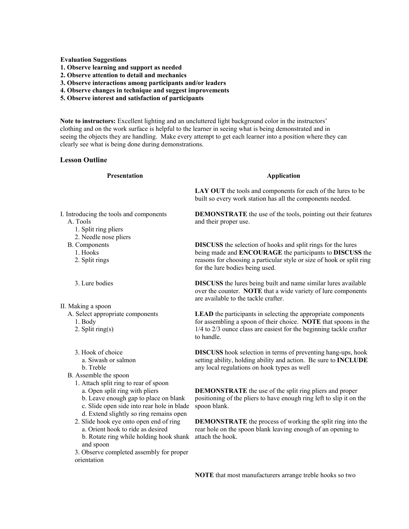**Evaluation Suggestions** 

- **1. Observe learning and support as needed**
- **2. Observe attention to detail and mechanics**
- **3. Observe interactions among participants and/or leaders**
- **4. Observe changes in technique and suggest improvements**
- **5. Observe interest and satisfaction of participants**

**Note to instructors:** Excellent lighting and an uncluttered light background color in the instructors' clothing and on the work surface is helpful to the learner in seeing what is being demonstrated and in seeing the objects they are handling. Make every attempt to get each learner into a position where they can clearly see what is being done during demonstrations.

### **Lesson Outline**

### **Presentation**

- I. Introducing the tools and components A. Tools
	- 1. Split ring pliers
	- 2. Needle nose pliers
	- B. Components
		- 1. Hooks
		- 2. Split rings

3. Lure bodies

II. Making a spoon

- A. Select appropriate components
	- 1. Body
	- 2. Split ring(s)
	- 3. Hook of choice a. Siwash or salmon b. Treble
- B. Assemble the spoon
	- 1. Attach split ring to rear of spoon
		- a. Open split ring with pliers
		- b. Leave enough gap to place on blank
		- c. Slide open side into rear hole in blade
		- d. Extend slightly so ring remains open
	- 2. Slide hook eye onto open end of ring a. Orient hook to ride as desired
		- b. Rotate ring while holding hook shank and spoon
	- 3. Observe completed assembly for proper orientation

### **Application**

**LAY OUT** the tools and components for each of the lures to be built so every work station has all the components needed.

**DEMONSTRATE** the use of the tools, pointing out their features and their proper use.

**DISCUSS** the selection of hooks and split rings for the lures being made and **ENCOURAGE** the participants to **DISCUSS** the reasons for choosing a particular style or size of hook or split ring for the lure bodies being used.

**DISCUSS** the lures being built and name similar lures available over the counter. **NOTE** that a wide variety of lure components are available to the tackle crafter.

**LEAD** the participants in selecting the appropriate components for assembling a spoon of their choice. **NOTE** that spoons in the 1/4 to 2/3 ounce class are easiest for the beginning tackle crafter to handle.

**DISCUSS** hook selection in terms of preventing hang-ups, hook setting ability, holding ability and action. Be sure to **INCLUDE** any local regulations on hook types as well

**DEMONSTRATE** the use of the split ring pliers and proper positioning of the pliers to have enough ring left to slip it on the spoon blank.

**DEMONSTRATE** the process of working the split ring into the rear hole on the spoon blank leaving enough of an opening to attach the hook.

**NOTE** that most manufacturers arrange treble hooks so two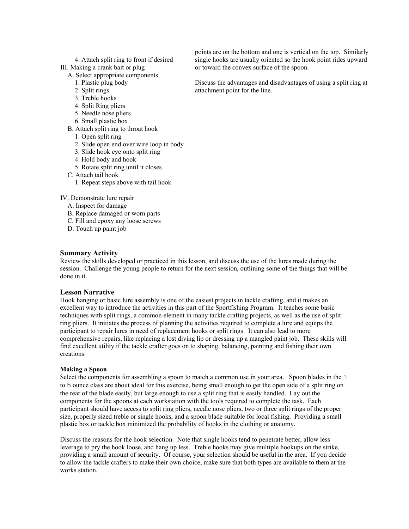- 4. Attach split ring to front if desired
- III. Making a crank bait or plug A. Select appropriate components
	- 1. Plastic plug body
	- 2. Split rings
	- 3. Treble hooks
	- 4. Split Ring pliers
	- 5. Needle nose pliers
	- 6. Small plastic box
	- B. Attach split ring to throat hook
		- 1. Open split ring
		- 2. Slide open end over wire loop in body
		- 3. Slide hook eye onto split ring
		- 4. Hold body and hook
		- 5. Rotate split ring until it closes
	- C. Attach tail hook
		- 1. Repeat steps above with tail hook
- IV. Demonstrate lure repair
	- A. Inspect for damage
	- B. Replace damaged or worn parts
	- C. Fill and epoxy any loose screws
	- D. Touch up paint job

## **Summary Activity**

Review the skills developed or practiced in this lesson, and discuss the use of the lures made during the session. Challenge the young people to return for the next session, outlining some of the things that will be done in it.

## **Lesson Narrative**

Hook hanging or basic lure assembly is one of the easiest projects in tackle crafting, and it makes an excellent way to introduce the activities in this part of the Sportfishing Program. It teaches some basic techniques with split rings, a common element in many tackle crafting projects, as well as the use of split ring pliers. It initiates the process of planning the activities required to complete a lure and equips the participant to repair lures in need of replacement hooks or split rings. It can also lead to more comprehensive repairs, like replacing a lost diving lip or dressing up a mangled paint job. These skills will find excellent utility if the tackle crafter goes on to shaping, balancing, painting and fishing their own creations.

## **Making a Spoon**

Select the components for assembling a spoon to match a common use in your area. Spoon blades in the 3 to b ounce class are about ideal for this exercise, being small enough to get the open side of a split ring on the rear of the blade easily, but large enough to use a split ring that is easily handled. Lay out the components for the spoons at each workstation with the tools required to complete the task. Each participant should have access to split ring pliers, needle nose pliers, two or three split rings of the proper size, properly sized treble or single hooks, and a spoon blade suitable for local fishing. Providing a small plastic box or tackle box minimized the probability of hooks in the clothing or anatomy.

Discuss the reasons for the hook selection. Note that single hooks tend to penetrate better, allow less leverage to pry the hook loose, and hang up less. Treble hooks may give multiple hookups on the strike, providing a small amount of security. Of course, your selection should be useful in the area. If you decide to allow the tackle crafters to make their own choice, make sure that both types are available to them at the works station.

points are on the bottom and one is vertical on the top. Similarly single hooks are usually oriented so the hook point rides upward or toward the convex surface of the spoon.

Discuss the advantages and disadvantages of using a split ring at attachment point for the line.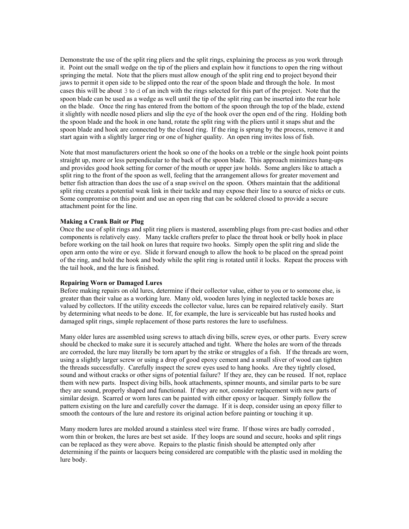Demonstrate the use of the split ring pliers and the split rings, explaining the process as you work through it. Point out the small wedge on the tip of the pliers and explain how it functions to open the ring without springing the metal. Note that the pliers must allow enough of the split ring end to project beyond their jaws to permit it open side to be slipped onto the rear of the spoon blade and through the hole. In most cases this will be about 3 to d of an inch with the rings selected for this part of the project. Note that the spoon blade can be used as a wedge as well until the tip of the split ring can be inserted into the rear hole on the blade. Once the ring has entered from the bottom of the spoon through the top of the blade, extend it slightly with needle nosed pliers and slip the eye of the hook over the open end of the ring. Holding both the spoon blade and the hook in one hand, rotate the split ring with the pliers until it snaps shut and the spoon blade and hook are connected by the closed ring. If the ring is sprung by the process, remove it and start again with a slightly larger ring or one of higher quality. An open ring invites loss of fish.

Note that most manufacturers orient the hook so one of the hooks on a treble or the single hook point points straight up, more or less perpendicular to the back of the spoon blade. This approach minimizes hang-ups and provides good hook setting for corner of the mouth or upper jaw holds. Some anglers like to attach a split ring to the front of the spoon as well, feeling that the arrangement allows for greater movement and better fish attraction than does the use of a snap swivel on the spoon. Others maintain that the additional split ring creates a potential weak link in their tackle and may expose their line to a source of nicks or cuts. Some compromise on this point and use an open ring that can be soldered closed to provide a secure attachment point for the line.

#### **Making a Crank Bait or Plug**

Once the use of split rings and split ring pliers is mastered, assembling plugs from pre-cast bodies and other components is relatively easy. Many tackle crafters prefer to place the throat hook or belly hook in place before working on the tail hook on lures that require two hooks. Simply open the split ring and slide the open arm onto the wire or eye. Slide it forward enough to allow the hook to be placed on the spread point of the ring, and hold the hook and body while the split ring is rotated until it locks. Repeat the process with the tail hook, and the lure is finished.

### **Repairing Worn or Damaged Lures**

Before making repairs on old lures, determine if their collector value, either to you or to someone else, is greater than their value as a working lure. Many old, wooden lures lying in neglected tackle boxes are valued by collectors. If the utility exceeds the collector value, lures can be repaired relatively easily. Start by determining what needs to be done. If, for example, the lure is serviceable but has rusted hooks and damaged split rings, simple replacement of those parts restores the lure to usefulness.

Many older lures are assembled using screws to attach diving bills, screw eyes, or other parts. Every screw should be checked to make sure it is securely attached and tight. Where the holes are worn of the threads are corroded, the lure may literally be torn apart by the strike or struggles of a fish. If the threads are worn, using a slightly larger screw or using a drop of good epoxy cement and a small sliver of wood can tighten the threads successfully. Carefully inspect the screw eyes used to hang hooks. Are they tightly closed, sound and without cracks or other signs of potential failure? If they are, they can be reused. If not, replace them with new parts. Inspect diving bills, hook attachments, spinner mounts, and similar parts to be sure they are sound, properly shaped and functional. If they are not, consider replacement with new parts of similar design. Scarred or worn lures can be painted with either epoxy or lacquer. Simply follow the pattern existing on the lure and carefully cover the damage. If it is deep, consider using an epoxy filler to smooth the contours of the lure and restore its original action before painting or touching it up.

Many modern lures are molded around a stainless steel wire frame. If those wires are badly corroded , worn thin or broken, the lures are best set aside. If they loops are sound and secure, hooks and split rings can be replaced as they were above. Repairs to the plastic finish should be attempted only after determining if the paints or lacquers being considered are compatible with the plastic used in molding the lure body.